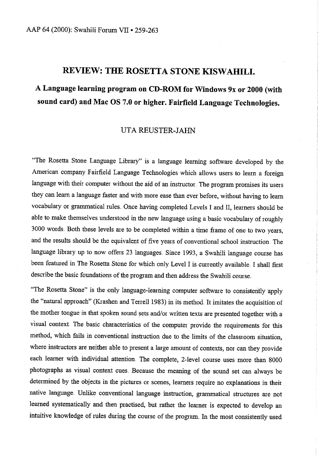## **REVIEW: THE ROSETTA STONE KISWAHILI.**

# **A Language learning program on CD-ROM for Windows 9x or 2000 (with sound card) and Mac OS 7.0 or higher. Fairfield Language Technologies.**

### UTA REUSTER-JAHN

"The Rosetta Stone Language Library" is a language learning software developed by the American company Fairfield Language Technologies which allows users to learn a foreign language with their computer without the aid of an instructor. The program promises its users they can learn a language faster and with more ease than ever before, without having to learn vocabulary or grammatical rules. Once having completed Levels I and II, learners should be able to make themselves understood in the new language using a basic vocabulary of roughly 3000 words. Both these levels are to be completed within a time frame of one to two years, and the results should be the equivalent of five years of conventional school instruction. The language library up to now offers 23 languages. Since 1993, a Swahili language course has been featured in The Rosetta Stone for which only Level I is currently available. I shall first describe the basic foundations of the program and then address the Swahili course

"The Rosetta Stone" is the only language-learning computer software to consistently apply the "natural approach" (Krashen and Terrell 1983) in its method. It imitates the acquisition of the mother tongue in that spoken sound sets and/or written texts are presented together with a visual context The basic characteristics of the computer provide the requirements for this method, which fails in conventional instruction due to the limits of the classroom situation, where instructors are neither able to present a large amount of contexts, nor can they provide each learner with individual attention. The complete, 2-level course uses more than 8000 <sup>p</sup>hotographs as visual context cues. Because the meaning of the sound set can always be determined by the objects in the pictures or scenes, learners require no explanations in their native language. Unlike conventional language instruction, grammatical structures are not learned systematically and then practised, but rather the learner is expected to develop an intuitive knowledge of rules during the course of the program. In the most consistently used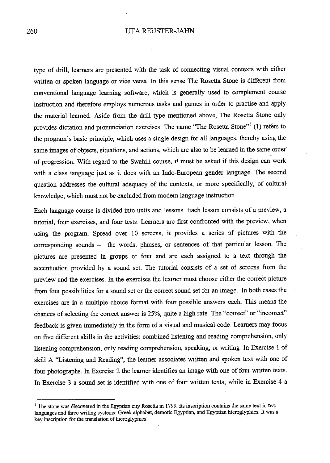#### 260 UTA REUSTER-JAHN

type of drill, learners are presented with the task of connecting visual contexts with either written or spoken language or vice versa. In this sense The Rosetta Stone is different from conventional language learning software, which is generally used to complement course instruction and therefore employs numerous tasks and games in order to practise and apply the material learned Aside from the drill type mentioned above, The Rosetta Stone only provides dictation and pronunciation exercises. The name "The Rosetta Stone"<sup>1</sup> (1) refers to the program's basic principle, which uses a single design for all languages, thereby using the same images of objects, situations, and actions, which are also to be learned in the same order of progression. With regard to the Swahili course, it must be asked if this design can work with a class language just as it does with an Indo-European gender language. The second question addresses the cultural adequacy of the contexts, or more specifically, of cultural knowledge, which must not be excluded from modern language instruction ..

Each language course is divided into units and lessons .. Each lesson consists of a preview, a tutorial, four exercises, and four tests. Learners are first confronted with the preview, when using the program. Spread over 10 screens, it provides a series of pictures with the corresponding sounds - the words, phrases, or sentences of that particular lesson. The pictures are presented in groups of four and are each assigned to a text through the accentuation provided by a sound set The tutorial consists of a set of screens from the preview and the exercises. In the exercises the learner must choose either the correct picture from four possibilities for a sound set or the correct sound set for an image. In both cases the exercises are in a multiple choice format with four possible answers each. This means the chances of selecting the correct answer is 25%, quite a high rate. The "correct" or "incorrect" feedback is given immediately in the form of a visual and musical code Learners may focus on five different skills in the activities: combined listening and reading comprehension, only listening comprehension, only reading comprehension, speaking, or writing. In Exercise 1 of skill A "Listening and Reading", the learner associates written and spoken text with one of four photographs. In Exercise 2 the learner identifies an image with one of four written texts. In Exercise 3 a sound set is identified with one of four written texts, while in Exercise 4 a

<sup>&</sup>lt;sup>1</sup> The stone was discovered in the Egyptian city Rosetta in 1799. Its inscription contains the same text in two languages and three writing systems: Greek alphabet, demotic Egyptian, and Egyptian hieroglyphics. It was a key inscription for the translation of hieroglyphics.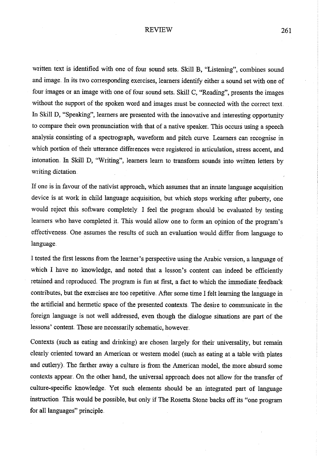#### REVIEW 261

written text is identified with one of four sound sets. Skill B, "Listening", combines sound and image. In its two corresponding exercises, learners identify either a sound set with one of four images or an image with one of four sound sets. Skill C, "Reading", presents the images without the support of the spoken word and images must be connected with the correct text. In Skill D, "Speaking", learners are presented with the innovative and interesting opportunity to compare their own pronunciation with that of a native speaker. This occurs using a speech analysis consisting of a spectrograph, waveform and pitch curve. Learners can recognise in which portion of their utterance differences were registered in articulation, stress accent, and intonation. In Skill D, "Writing", learners learn to transform sounds into Wiitten letters by Wiiting dictation.

If one is in favour of the nativist approach, which assumes that an innate language acquisition device is at work in child language acquisition, but which stops working after puberty, one would reject this software completely. I feel the program should be evaluated by testing learners who have completed it This would allow one to form an opinion of the program's effectiveness One assumes the results of such an evaluation would differ from language to language.

I tested the first lessons from the learner's perspective using the Arabic version, a language of which I have no knowledge, and noted that a lesson's content can indeed be efficiently retained and reproduced. The program is fun at first, a fact to which the immediate feedback contributes, but the exercises are too repetitive. After some time I felt learning the language in the artificial and hermetic space of the presented contexts. The desire to communicate in the foreign language is not well addressed, even though the dialogue situations are part of the lessons' content. These are necessarily schematic, however.

Contexts (such as eating and drinking) are chosen largely for their universality, but remain clearly miented toward an American or western model (such as eating at a table with plates and cutlery). The farther away a culture is from the American model, the more absurd some contexts appear. On the other hand, the universal approach does not allow for the transfer of culture-specific knowledge. Yet such elements should be an integrated part of language instruction. This would be possible, but only if The Rosetta Stone backs off its "one program for all languages" principle.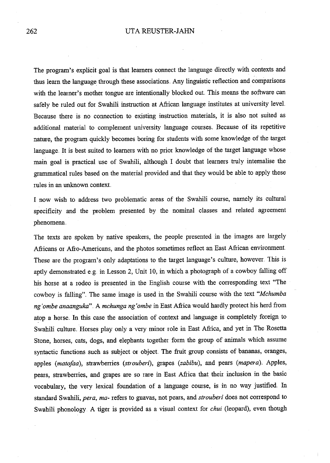#### 262 UTA REUSTER-JAHN

The program's explicit goal is that learners connect the language directly with contexts and thus learn the language through these associations. Any linguistic reflection and comparisons with the learner's mother tongue are intentionally blocked out. This means the software can safely be ruled out for Swahili instruction at African language institutes at university leveL Because there is no connection to existing instruction materials, it is also not suited as additional material to complement university language courses. Because of its repetitive nature, the program quickly becomes boring for students with some knowledge of the target language. It is best suited to learners with no prior knowledge of the target language whose main goal is practical use of Swahili, although I doubt that learners truly intemalise the grarmnatical rules based on the material provided and that they would be able to apply these rules in an unknown context.

I now wish to address two problematic areas of the Swahili course, namely its cultrual specificity and the problem presented by the nominal classes and related agreement phenomena.

The texts are spoken by native speakers, the people presented in the images are largely Africans or Afro-Americans, and the photos sometimes reflect an East African environment These are the program's only adaptations to the target language's culture, however. This is aptly demonstrated e.g. in Lesson 2, Unit 10, in which a photograph of a cowboy falling off his horse at a rodeo is presented in the English course with the corresponding text "The cowboy is falling" .. The same image is used in the Swahili course with the text *"Mchumba ng 'ombe anaanguka" ..* A *mchunga ng 'ombe* in East Africa would hardly protect his herd from atop a horse. In this case the association of context and language is completely foreign to Swahili culture. Horses play only a very minor role in East Africa, and yet in The Rosetta Stone, horses, cats, dogs, and elephants together form the group of animals which assume syntactic functions such as subject or object. The fruit group consists of bananas, oranges, apples *(matofaa)*, strawberries *(strouberi)*, grapes *(zabibu)*, and pears *(mapera)*. Apples, pears, strawberries, and grapes are so rare in East Africa that their inclusion in the basic vocabulary, the very lexical foundation of a language course, is in no way justified. In standard Swahili, *pera, ma-* refers to guavas, not pears, and *strouberi* does not correspond to Swahili phonology. A tiger is provided as a visual context for *chui* (leopard), even though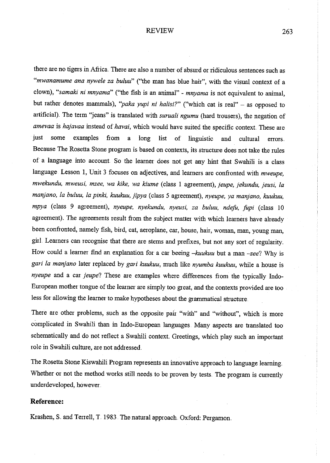#### REVIEW 263

there are no tigers in Africa. There are also a number of absurd or ridiculous sentences such as *"mwanamume ana nywele za buluu"* ("the man has blue hair", with the visual context of <sup>a</sup> clown), *"samaki ni mnyama"* ("the fish is an animal" - *mnyama* is not equivalent to animal, but rather denotes mammals), *"paka yupi ni halisi?"* ("which cat is real" - as opposed to artificial}. The term "jeans" is translated with *suruali ngumu* (hard trousers), the negation of *amevaa* is *hajavaa* instead of *havai,* which would have suited the specific context These are just some examples from a long list of linguistic and cultural errors. Because The Rosetta Stone program is based on contexts, its structure does not take the rules of a language into account So the learner does not get any hint that Swahili is a class language. Lesson 1, Unit 3 focuses on adjectives, and learners are confronted with *mweupe*, *mwekundu, mweusi, mzee, wa kike, wa kiume* (class I agreement), *jeupe, jekundu, jeusi, la mar!)ano, la buluu, la pinki, kuukuu, jipya* (class 5 agreement), *nyeupe, ya manjano, kuukuu, mpya* (class 9 agreement), *nyeupe, nyekundu, nyeusi, za buluu, ndefo, fupi* (class <sup>10</sup> agreement). The agreements result from the subject matter with which learners have already been confionted, namely fish, bird, cat, aeroplane, car, house, hair, woman, man, young man, girl. Learners can recognise that there are stems and prefixes, but not any sort of regularity. How could a learner find an explanation for a car beeing *-kuukuu* but a man *-zee?* Why is gari la manjano later replaced by gari kuukuu, much like nyumba kuukuu, while a house is *nyeupe* and a car *jeupe*? These are examples where differences from the typically Indo-European mother tongue of the learner are simply too great, and the contexts provided are too less for allowing the learner to make hypotheses about the grammatical structure.

There are other problems, such as the opposite pair "with" and "without", which is more complicated in Swahili than in Indo-European languages. Many aspects are translated too schematically and do not reflect a Swahili context. Greetings, which play such an important role in Swahili culture, are not addressed.

The Rosetta Stone Kiswahili Program represents an innovative approach to language learning .. Whether or not the method works still needs to be proven by tests. The program is currently underdeveloped, however ..

#### **Reference:**

Krashen, S. and Terrell, T. 1983. The natural approach. Oxford: Pergamon.